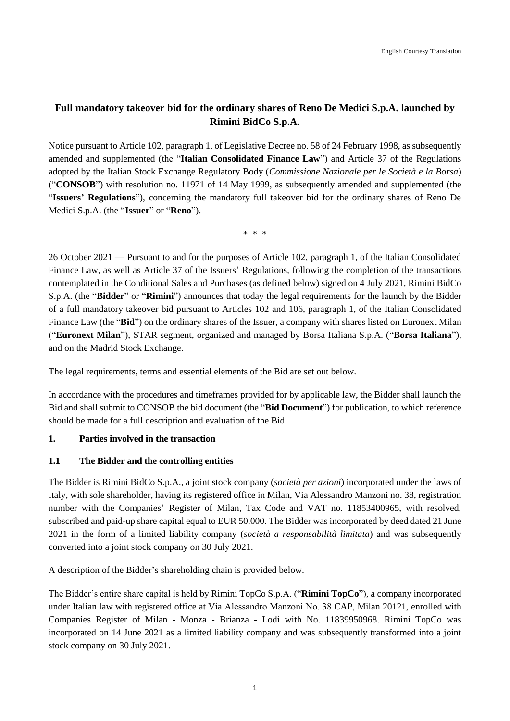# **Full mandatory takeover bid for the ordinary shares of Reno De Medici S.p.A. launched by Rimini BidCo S.p.A.**

Notice pursuant to Article 102, paragraph 1, of Legislative Decree no. 58 of 24 February 1998, as subsequently amended and supplemented (the "**Italian Consolidated Finance Law**") and Article 37 of the Regulations adopted by the Italian Stock Exchange Regulatory Body (*Commissione Nazionale per le Società e la Borsa*) ("**CONSOB**") with resolution no. 11971 of 14 May 1999, as subsequently amended and supplemented (the "**Issuers' Regulations**"), concerning the mandatory full takeover bid for the ordinary shares of Reno De Medici S.p.A. (the "**Issuer**" or "**Reno**").

\* \* \*

26 October 2021 — Pursuant to and for the purposes of Article 102, paragraph 1, of the Italian Consolidated Finance Law, as well as Article 37 of the Issuers' Regulations, following the completion of the transactions contemplated in the Conditional Sales and Purchases (as defined below) signed on 4 July 2021, Rimini BidCo S.p.A. (the "**Bidder**" or "**Rimini**") announces that today the legal requirements for the launch by the Bidder of a full mandatory takeover bid pursuant to Articles 102 and 106, paragraph 1, of the Italian Consolidated Finance Law (the "**Bid**") on the ordinary shares of the Issuer, a company with shares listed on Euronext Milan ("**Euronext Milan**"), STAR segment, organized and managed by Borsa Italiana S.p.A. ("**Borsa Italiana**"), and on the Madrid Stock Exchange.

The legal requirements, terms and essential elements of the Bid are set out below.

In accordance with the procedures and timeframes provided for by applicable law, the Bidder shall launch the Bid and shall submit to CONSOB the bid document (the "**Bid Document**") for publication, to which reference should be made for a full description and evaluation of the Bid.

### **1. Parties involved in the transaction**

### **1.1 The Bidder and the controlling entities**

The Bidder is Rimini BidCo S.p.A., a joint stock company (*società per azioni*) incorporated under the laws of Italy, with sole shareholder, having its registered office in Milan, Via Alessandro Manzoni no. 38, registration number with the Companies' Register of Milan, Tax Code and VAT no. 11853400965, with resolved, subscribed and paid-up share capital equal to EUR 50,000. The Bidder was incorporated by deed dated 21 June 2021 in the form of a limited liability company (*società a responsabilità limitata*) and was subsequently converted into a joint stock company on 30 July 2021.

A description of the Bidder's shareholding chain is provided below.

The Bidder's entire share capital is held by Rimini TopCo S.p.A. ("**Rimini TopCo**"), a company incorporated under Italian law with registered office at Via Alessandro Manzoni No. 38 CAP, Milan 20121, enrolled with Companies Register of Milan - Monza - Brianza - Lodi with No. 11839950968. Rimini TopCo was incorporated on 14 June 2021 as a limited liability company and was subsequently transformed into a joint stock company on 30 July 2021.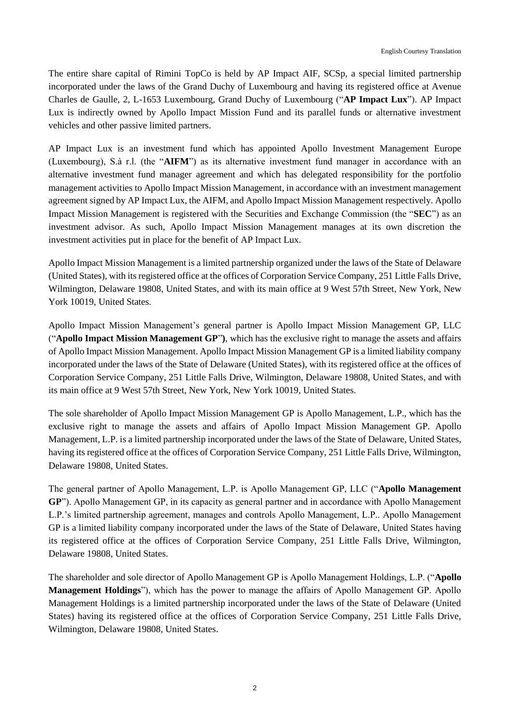The entire share capital of Rimini TopCo is held by AP Impact AIF, SCSp, a special limited partnership incorporated under the laws of the Grand Duchy of Luxembourg and having its registered office at Avenue Charles de Gaulle, 2, L-1653 Luxembourg, Grand Duchy of Luxembourg ("**AP Impact Lux**"). AP Impact Lux is indirectly owned by Apollo Impact Mission Fund and its parallel funds or alternative investment vehicles and other passive limited partners.

AP Impact Lux is an investment fund which has appointed Apollo Investment Management Europe (Luxembourg), S.à r.l. (the "**AIFM**") as its alternative investment fund manager in accordance with an alternative investment fund manager agreement and which has delegated responsibility for the portfolio management activities to Apollo Impact Mission Management, in accordance with an investment management agreement signed by AP Impact Lux, the AIFM, and Apollo Impact Mission Management respectively. Apollo Impact Mission Management is registered with the Securities and Exchange Commission (the "**SEC**") as an investment advisor. As such, Apollo Impact Mission Management manages at its own discretion the investment activities put in place for the benefit of AP Impact Lux.

Apollo Impact Mission Management is a limited partnership organized under the laws of the State of Delaware (United States), with its registered office at the offices of Corporation Service Company, 251 Little Falls Drive, Wilmington, Delaware 19808, United States, and with its main office at 9 West 57th Street, New York, New York 10019, United States.

Apollo Impact Mission Management's general partner is Apollo Impact Mission Management GP, LLC ("**Apollo Impact Mission Management GP**"**)**, which has the exclusive right to manage the assets and affairs of Apollo Impact Mission Management. Apollo Impact Mission Management GP is a limited liability company incorporated under the laws of the State of Delaware (United States), with its registered office at the offices of Corporation Service Company, 251 Little Falls Drive, Wilmington, Delaware 19808, United States, and with its main office at 9 West 57th Street, New York, New York 10019, United States.

The sole shareholder of Apollo Impact Mission Management GP is Apollo Management, L.P., which has the exclusive right to manage the assets and affairs of Apollo Impact Mission Management GP. Apollo Management, L.P. is a limited partnership incorporated under the laws of the State of Delaware, United States, having its registered office at the offices of Corporation Service Company, 251 Little Falls Drive, Wilmington, Delaware 19808, United States.

The general partner of Apollo Management, L.P. is Apollo Management GP, LLC ("**Apollo Management GP**"). Apollo Management GP, in its capacity as general partner and in accordance with Apollo Management L.P.'s limited partnership agreement, manages and controls Apollo Management, L.P.. Apollo Management GP is a limited liability company incorporated under the laws of the State of Delaware, United States having its registered office at the offices of Corporation Service Company, 251 Little Falls Drive, Wilmington, Delaware 19808, United States.

The shareholder and sole director of Apollo Management GP is Apollo Management Holdings, L.P. ("**Apollo Management Holdings**"), which has the power to manage the affairs of Apollo Management GP. Apollo Management Holdings is a limited partnership incorporated under the laws of the State of Delaware (United States) having its registered office at the offices of Corporation Service Company, 251 Little Falls Drive, Wilmington, Delaware 19808, United States.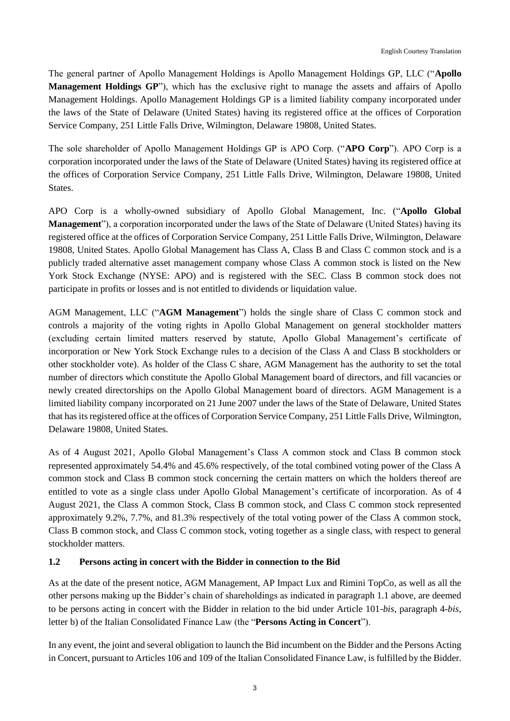The general partner of Apollo Management Holdings is Apollo Management Holdings GP, LLC ("**Apollo Management Holdings GP**"), which has the exclusive right to manage the assets and affairs of Apollo Management Holdings. Apollo Management Holdings GP is a limited liability company incorporated under the laws of the State of Delaware (United States) having its registered office at the offices of Corporation Service Company, 251 Little Falls Drive, Wilmington, Delaware 19808, United States.

The sole shareholder of Apollo Management Holdings GP is APO Corp. ("**APO Corp**"). APO Corp is a corporation incorporated under the laws of the State of Delaware (United States) having its registered office at the offices of Corporation Service Company, 251 Little Falls Drive, Wilmington, Delaware 19808, United States.

APO Corp is a wholly-owned subsidiary of Apollo Global Management, Inc. ("**Apollo Global Management**"), a corporation incorporated under the laws of the State of Delaware (United States) having its registered office at the offices of Corporation Service Company, 251 Little Falls Drive, Wilmington, Delaware 19808, United States. Apollo Global Management has Class A, Class B and Class C common stock and is a publicly traded alternative asset management company whose Class A common stock is listed on the New York Stock Exchange (NYSE: APO) and is registered with the SEC. Class B common stock does not participate in profits or losses and is not entitled to dividends or liquidation value.

AGM Management, LLC ("**AGM Management**") holds the single share of Class C common stock and controls a majority of the voting rights in Apollo Global Management on general stockholder matters (excluding certain limited matters reserved by statute, Apollo Global Management's certificate of incorporation or New York Stock Exchange rules to a decision of the Class A and Class B stockholders or other stockholder vote). As holder of the Class C share, AGM Management has the authority to set the total number of directors which constitute the Apollo Global Management board of directors, and fill vacancies or newly created directorships on the Apollo Global Management board of directors. AGM Management is a limited liability company incorporated on 21 June 2007 under the laws of the State of Delaware, United States that has its registered office at the offices of Corporation Service Company, 251 Little Falls Drive, Wilmington, Delaware 19808, United States.

As of 4 August 2021, Apollo Global Management's Class A common stock and Class B common stock represented approximately 54.4% and 45.6% respectively, of the total combined voting power of the Class A common stock and Class B common stock concerning the certain matters on which the holders thereof are entitled to vote as a single class under Apollo Global Management's certificate of incorporation. As of 4 August 2021, the Class A common Stock, Class B common stock, and Class C common stock represented approximately 9.2%, 7.7%, and 81.3% respectively of the total voting power of the Class A common stock, Class B common stock, and Class C common stock, voting together as a single class, with respect to general stockholder matters.

# **1.2 Persons acting in concert with the Bidder in connection to the Bid**

As at the date of the present notice, AGM Management, AP Impact Lux and Rimini TopCo, as well as all the other persons making up the Bidder's chain of shareholdings as indicated in paragraph 1.1 above, are deemed to be persons acting in concert with the Bidder in relation to the bid under Article 101-*bis*, paragraph 4-*bis*, letter b) of the Italian Consolidated Finance Law (the "**Persons Acting in Concert**").

In any event, the joint and several obligation to launch the Bid incumbent on the Bidder and the Persons Acting in Concert, pursuant to Articles 106 and 109 of the Italian Consolidated Finance Law, is fulfilled by the Bidder.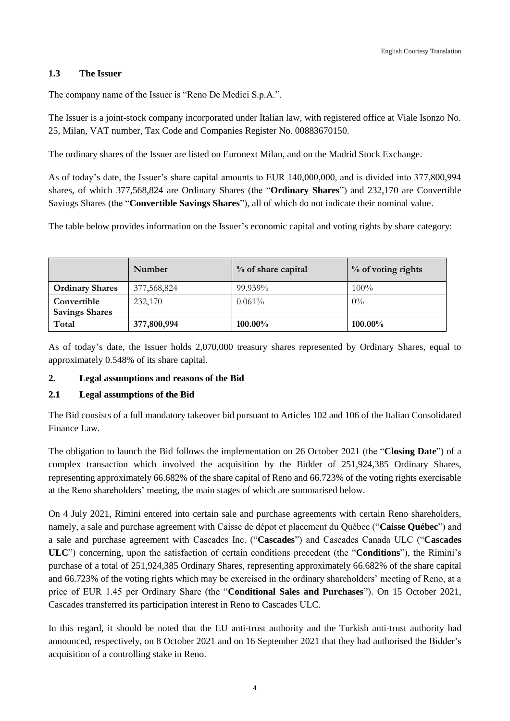### **1.3 The Issuer**

The company name of the Issuer is "Reno De Medici S.p.A.".

The Issuer is a joint-stock company incorporated under Italian law, with registered office at Viale Isonzo No. 25, Milan, VAT number, Tax Code and Companies Register No. 00883670150.

The ordinary shares of the Issuer are listed on Euronext Milan, and on the Madrid Stock Exchange.

As of today's date, the Issuer's share capital amounts to EUR 140,000,000, and is divided into 377,800,994 shares, of which 377,568,824 are Ordinary Shares (the "**Ordinary Shares**") and 232,170 are Convertible Savings Shares (the "**Convertible Savings Shares**"), all of which do not indicate their nominal value.

The table below provides information on the Issuer's economic capital and voting rights by share category:

|                        | Number      | % of share capital | % of voting rights |
|------------------------|-------------|--------------------|--------------------|
| <b>Ordinary Shares</b> | 377,568,824 | 99.939%            | $100\%$            |
| Convertible            | 232,170     | $0.061\%$          | $0\%$              |
| <b>Savings Shares</b>  |             |                    |                    |
| Total                  | 377,800,994 | 100.00%            | 100.00%            |

As of today's date, the Issuer holds 2,070,000 treasury shares represented by Ordinary Shares, equal to approximately 0.548% of its share capital.

#### **2. Legal assumptions and reasons of the Bid**

#### **2.1 Legal assumptions of the Bid**

The Bid consists of a full mandatory takeover bid pursuant to Articles 102 and 106 of the Italian Consolidated Finance Law.

The obligation to launch the Bid follows the implementation on 26 October 2021 (the "**Closing Date**") of a complex transaction which involved the acquisition by the Bidder of 251,924,385 Ordinary Shares, representing approximately 66.682% of the share capital of Reno and 66.723% of the voting rights exercisable at the Reno shareholders' meeting, the main stages of which are summarised below.

On 4 July 2021, Rimini entered into certain sale and purchase agreements with certain Reno shareholders, namely, a sale and purchase agreement with Caisse de dépot et placement du Québec ("**Caisse Québec**") and a sale and purchase agreement with Cascades Inc. ("**Cascades**") and Cascades Canada ULC ("**Cascades ULC**") concerning, upon the satisfaction of certain conditions precedent (the "**Conditions**"), the Rimini's purchase of a total of 251,924,385 Ordinary Shares, representing approximately 66.682% of the share capital and 66.723% of the voting rights which may be exercised in the ordinary shareholders' meeting of Reno, at a price of EUR 1.45 per Ordinary Share (the "**Conditional Sales and Purchases**"). On 15 October 2021, Cascades transferred its participation interest in Reno to Cascades ULC.

In this regard, it should be noted that the EU anti-trust authority and the Turkish anti-trust authority had announced, respectively, on 8 October 2021 and on 16 September 2021 that they had authorised the Bidder's acquisition of a controlling stake in Reno.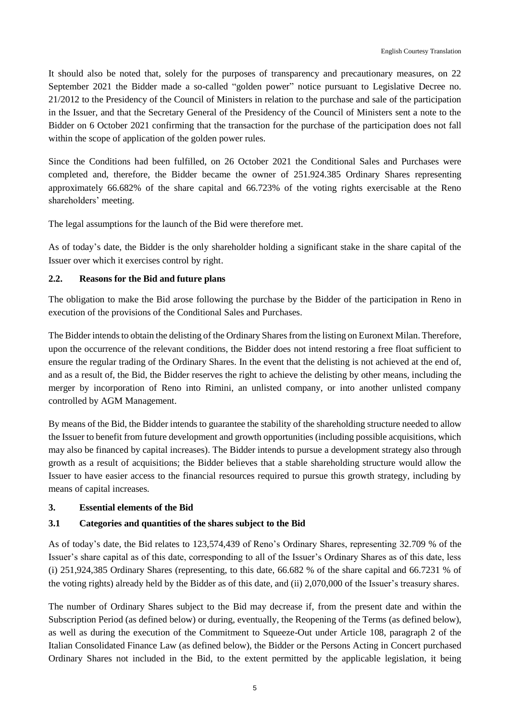It should also be noted that, solely for the purposes of transparency and precautionary measures, on 22 September 2021 the Bidder made a so-called "golden power" notice pursuant to Legislative Decree no. 21/2012 to the Presidency of the Council of Ministers in relation to the purchase and sale of the participation in the Issuer, and that the Secretary General of the Presidency of the Council of Ministers sent a note to the Bidder on 6 October 2021 confirming that the transaction for the purchase of the participation does not fall within the scope of application of the golden power rules.

Since the Conditions had been fulfilled, on 26 October 2021 the Conditional Sales and Purchases were completed and, therefore, the Bidder became the owner of 251.924.385 Ordinary Shares representing approximately 66.682% of the share capital and 66.723% of the voting rights exercisable at the Reno shareholders' meeting.

The legal assumptions for the launch of the Bid were therefore met.

As of today's date, the Bidder is the only shareholder holding a significant stake in the share capital of the Issuer over which it exercises control by right.

## **2.2. Reasons for the Bid and future plans**

The obligation to make the Bid arose following the purchase by the Bidder of the participation in Reno in execution of the provisions of the Conditional Sales and Purchases.

The Bidder intends to obtain the delisting of the Ordinary Shares from the listing on Euronext Milan. Therefore, upon the occurrence of the relevant conditions, the Bidder does not intend restoring a free float sufficient to ensure the regular trading of the Ordinary Shares. In the event that the delisting is not achieved at the end of, and as a result of, the Bid, the Bidder reserves the right to achieve the delisting by other means, including the merger by incorporation of Reno into Rimini, an unlisted company, or into another unlisted company controlled by AGM Management.

By means of the Bid, the Bidder intends to guarantee the stability of the shareholding structure needed to allow the Issuer to benefit from future development and growth opportunities (including possible acquisitions, which may also be financed by capital increases). The Bidder intends to pursue a development strategy also through growth as a result of acquisitions; the Bidder believes that a stable shareholding structure would allow the Issuer to have easier access to the financial resources required to pursue this growth strategy, including by means of capital increases.

### **3. Essential elements of the Bid**

# **3.1 Categories and quantities of the shares subject to the Bid**

As of today's date, the Bid relates to 123,574,439 of Reno's Ordinary Shares, representing 32.709 % of the Issuer's share capital as of this date, corresponding to all of the Issuer's Ordinary Shares as of this date, less (i) 251,924,385 Ordinary Shares (representing, to this date, 66.682 % of the share capital and 66.7231 % of the voting rights) already held by the Bidder as of this date, and (ii) 2,070,000 of the Issuer's treasury shares.

The number of Ordinary Shares subject to the Bid may decrease if, from the present date and within the Subscription Period (as defined below) or during, eventually, the Reopening of the Terms (as defined below), as well as during the execution of the Commitment to Squeeze-Out under Article 108, paragraph 2 of the Italian Consolidated Finance Law (as defined below), the Bidder or the Persons Acting in Concert purchased Ordinary Shares not included in the Bid, to the extent permitted by the applicable legislation, it being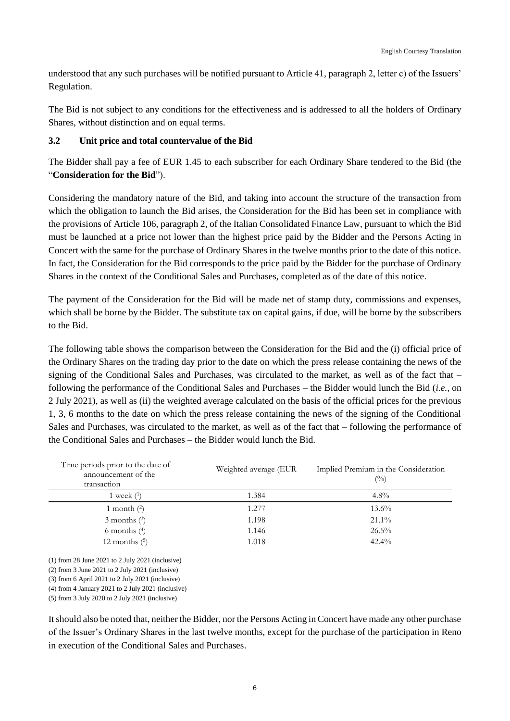understood that any such purchases will be notified pursuant to Article 41, paragraph 2, letter c) of the Issuers' Regulation.

The Bid is not subject to any conditions for the effectiveness and is addressed to all the holders of Ordinary Shares, without distinction and on equal terms.

### **3.2 Unit price and total countervalue of the Bid**

The Bidder shall pay a fee of EUR 1.45 to each subscriber for each Ordinary Share tendered to the Bid (the "**Consideration for the Bid**").

Considering the mandatory nature of the Bid, and taking into account the structure of the transaction from which the obligation to launch the Bid arises, the Consideration for the Bid has been set in compliance with the provisions of Article 106, paragraph 2, of the Italian Consolidated Finance Law, pursuant to which the Bid must be launched at a price not lower than the highest price paid by the Bidder and the Persons Acting in Concert with the same for the purchase of Ordinary Shares in the twelve months prior to the date of this notice. In fact, the Consideration for the Bid corresponds to the price paid by the Bidder for the purchase of Ordinary Shares in the context of the Conditional Sales and Purchases, completed as of the date of this notice.

The payment of the Consideration for the Bid will be made net of stamp duty, commissions and expenses, which shall be borne by the Bidder. The substitute tax on capital gains, if due, will be borne by the subscribers to the Bid.

The following table shows the comparison between the Consideration for the Bid and the (i) official price of the Ordinary Shares on the trading day prior to the date on which the press release containing the news of the signing of the Conditional Sales and Purchases, was circulated to the market, as well as of the fact that – following the performance of the Conditional Sales and Purchases – the Bidder would lunch the Bid (*i.e.*, on 2 July 2021), as well as (ii) the weighted average calculated on the basis of the official prices for the previous 1, 3, 6 months to the date on which the press release containing the news of the signing of the Conditional Sales and Purchases, was circulated to the market, as well as of the fact that – following the performance of the Conditional Sales and Purchases – the Bidder would lunch the Bid.

| Time periods prior to the date of<br>announcement of the<br>transaction | Weighted average (EUR | Implied Premium in the Consideration<br>$($ %) |
|-------------------------------------------------------------------------|-----------------------|------------------------------------------------|
| 1 week $(1)$                                                            | 1.384                 | $4.8\%$                                        |
| 1 month $(2)$                                                           | 1.277                 | $13.6\%$                                       |
| $3$ months $(3)$                                                        | 1.198                 | $21.1\%$                                       |
| 6 months $(4)$                                                          | 1.146                 | $26.5\%$                                       |
| 12 months $(5)$                                                         | 1.018                 | $42.4\%$                                       |

(1) from 28 June 2021 to 2 July 2021 (inclusive)

(2) from 3 June 2021 to 2 July 2021 (inclusive)

(3) from 6 April 2021 to 2 July 2021 (inclusive)

(4) from 4 January 2021 to 2 July 2021 (inclusive)

(5) from 3 July 2020 to 2 July 2021 (inclusive)

It should also be noted that, neither the Bidder, nor the Persons Acting in Concert have made any other purchase of the Issuer's Ordinary Shares in the last twelve months, except for the purchase of the participation in Reno in execution of the Conditional Sales and Purchases.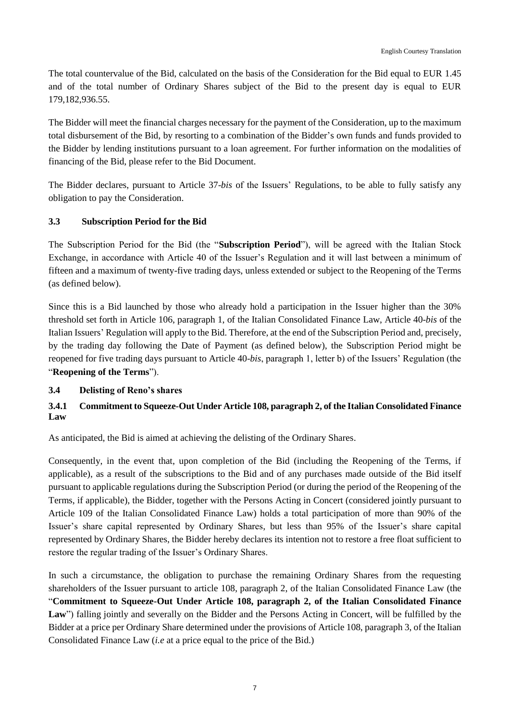The total countervalue of the Bid, calculated on the basis of the Consideration for the Bid equal to EUR 1.45 and of the total number of Ordinary Shares subject of the Bid to the present day is equal to EUR 179,182,936.55.

The Bidder will meet the financial charges necessary for the payment of the Consideration, up to the maximum total disbursement of the Bid, by resorting to a combination of the Bidder's own funds and funds provided to the Bidder by lending institutions pursuant to a loan agreement. For further information on the modalities of financing of the Bid, please refer to the Bid Document.

The Bidder declares, pursuant to Article 37-*bis* of the Issuers' Regulations, to be able to fully satisfy any obligation to pay the Consideration.

# **3.3 Subscription Period for the Bid**

The Subscription Period for the Bid (the "**Subscription Period**"), will be agreed with the Italian Stock Exchange, in accordance with Article 40 of the Issuer's Regulation and it will last between a minimum of fifteen and a maximum of twenty-five trading days, unless extended or subject to the Reopening of the Terms (as defined below).

Since this is a Bid launched by those who already hold a participation in the Issuer higher than the 30% threshold set forth in Article 106, paragraph 1, of the Italian Consolidated Finance Law, Article 40-*bis* of the Italian Issuers' Regulation will apply to the Bid. Therefore, at the end of the Subscription Period and, precisely, by the trading day following the Date of Payment (as defined below), the Subscription Period might be reopened for five trading days pursuant to Article 40-*bis*, paragraph 1, letter b) of the Issuers' Regulation (the "**Reopening of the Terms**").

### **3.4 Delisting of Reno's shares**

# **3.4.1 Commitment to Squeeze-Out Under Article 108, paragraph 2, of the Italian Consolidated Finance Law**

As anticipated, the Bid is aimed at achieving the delisting of the Ordinary Shares.

Consequently, in the event that, upon completion of the Bid (including the Reopening of the Terms, if applicable), as a result of the subscriptions to the Bid and of any purchases made outside of the Bid itself pursuant to applicable regulations during the Subscription Period (or during the period of the Reopening of the Terms, if applicable), the Bidder, together with the Persons Acting in Concert (considered jointly pursuant to Article 109 of the Italian Consolidated Finance Law) holds a total participation of more than 90% of the Issuer's share capital represented by Ordinary Shares, but less than 95% of the Issuer's share capital represented by Ordinary Shares, the Bidder hereby declares its intention not to restore a free float sufficient to restore the regular trading of the Issuer's Ordinary Shares.

In such a circumstance, the obligation to purchase the remaining Ordinary Shares from the requesting shareholders of the Issuer pursuant to article 108, paragraph 2, of the Italian Consolidated Finance Law (the "**Commitment to Squeeze-Out Under Article 108, paragraph 2, of the Italian Consolidated Finance**  Law") falling jointly and severally on the Bidder and the Persons Acting in Concert, will be fulfilled by the Bidder at a price per Ordinary Share determined under the provisions of Article 108, paragraph 3, of the Italian Consolidated Finance Law (*i.e* at a price equal to the price of the Bid.)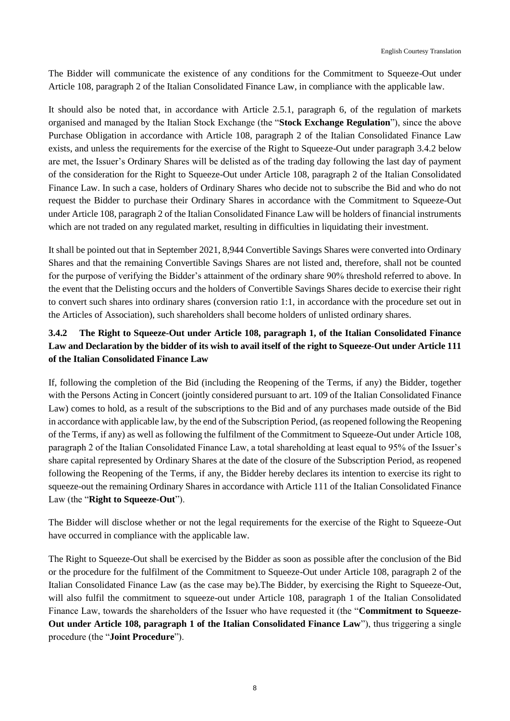The Bidder will communicate the existence of any conditions for the Commitment to Squeeze-Out under Article 108, paragraph 2 of the Italian Consolidated Finance Law, in compliance with the applicable law.

It should also be noted that, in accordance with Article 2.5.1, paragraph 6, of the regulation of markets organised and managed by the Italian Stock Exchange (the "**Stock Exchange Regulation**"), since the above Purchase Obligation in accordance with Article 108, paragraph 2 of the Italian Consolidated Finance Law exists, and unless the requirements for the exercise of the Right to Squeeze-Out under paragraph 3.4.2 below are met, the Issuer's Ordinary Shares will be delisted as of the trading day following the last day of payment of the consideration for the Right to Squeeze-Out under Article 108, paragraph 2 of the Italian Consolidated Finance Law. In such a case, holders of Ordinary Shares who decide not to subscribe the Bid and who do not request the Bidder to purchase their Ordinary Shares in accordance with the Commitment to Squeeze-Out under Article 108, paragraph 2 of the Italian Consolidated Finance Law will be holders of financial instruments which are not traded on any regulated market, resulting in difficulties in liquidating their investment.

It shall be pointed out that in September 2021, 8,944 Convertible Savings Shares were converted into Ordinary Shares and that the remaining Convertible Savings Shares are not listed and, therefore, shall not be counted for the purpose of verifying the Bidder's attainment of the ordinary share 90% threshold referred to above. In the event that the Delisting occurs and the holders of Convertible Savings Shares decide to exercise their right to convert such shares into ordinary shares (conversion ratio 1:1, in accordance with the procedure set out in the Articles of Association), such shareholders shall become holders of unlisted ordinary shares.

# **3.4.2 The Right to Squeeze-Out under Article 108, paragraph 1, of the Italian Consolidated Finance Law and Declaration by the bidder of its wish to avail itself of the right to Squeeze-Out under Article 111 of the Italian Consolidated Finance Law**

If, following the completion of the Bid (including the Reopening of the Terms, if any) the Bidder, together with the Persons Acting in Concert (jointly considered pursuant to art. 109 of the Italian Consolidated Finance Law) comes to hold, as a result of the subscriptions to the Bid and of any purchases made outside of the Bid in accordance with applicable law, by the end of the Subscription Period, (as reopened following the Reopening of the Terms, if any) as well as following the fulfilment of the Commitment to Squeeze-Out under Article 108, paragraph 2 of the Italian Consolidated Finance Law, a total shareholding at least equal to 95% of the Issuer's share capital represented by Ordinary Shares at the date of the closure of the Subscription Period, as reopened following the Reopening of the Terms, if any, the Bidder hereby declares its intention to exercise its right to squeeze-out the remaining Ordinary Shares in accordance with Article 111 of the Italian Consolidated Finance Law (the "**Right to Squeeze-Out**").

The Bidder will disclose whether or not the legal requirements for the exercise of the Right to Squeeze-Out have occurred in compliance with the applicable law.

The Right to Squeeze-Out shall be exercised by the Bidder as soon as possible after the conclusion of the Bid or the procedure for the fulfilment of the Commitment to Squeeze-Out under Article 108, paragraph 2 of the Italian Consolidated Finance Law (as the case may be).The Bidder, by exercising the Right to Squeeze-Out, will also fulfil the commitment to squeeze-out under Article 108, paragraph 1 of the Italian Consolidated Finance Law, towards the shareholders of the Issuer who have requested it (the "**Commitment to Squeeze-Out under Article 108, paragraph 1 of the Italian Consolidated Finance Law**"), thus triggering a single procedure (the "**Joint Procedure**").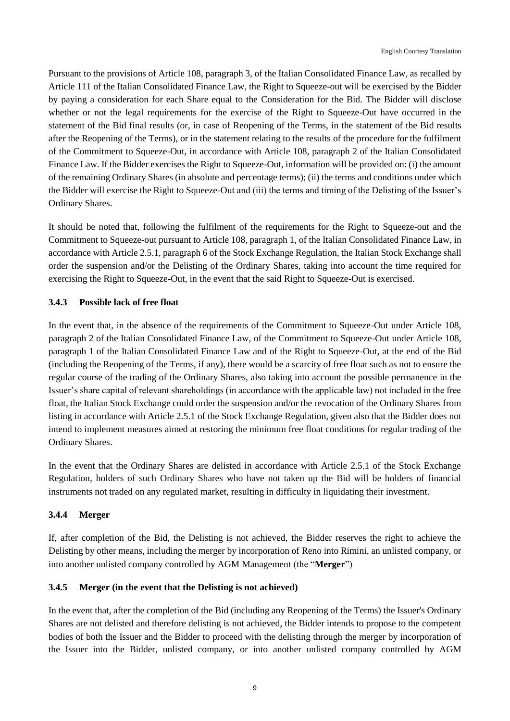Pursuant to the provisions of Article 108, paragraph 3, of the Italian Consolidated Finance Law, as recalled by Article 111 of the Italian Consolidated Finance Law, the Right to Squeeze-out will be exercised by the Bidder by paying a consideration for each Share equal to the Consideration for the Bid. The Bidder will disclose whether or not the legal requirements for the exercise of the Right to Squeeze-Out have occurred in the statement of the Bid final results (or, in case of Reopening of the Terms, in the statement of the Bid results after the Reopening of the Terms), or in the statement relating to the results of the procedure for the fulfilment of the Commitment to Squeeze-Out, in accordance with Article 108, paragraph 2 of the Italian Consolidated Finance Law. If the Bidder exercises the Right to Squeeze-Out, information will be provided on: (i) the amount of the remaining Ordinary Shares (in absolute and percentage terms); (ii) the terms and conditions under which the Bidder will exercise the Right to Squeeze-Out and (iii) the terms and timing of the Delisting of the Issuer's Ordinary Shares.

It should be noted that, following the fulfilment of the requirements for the Right to Squeeze-out and the Commitment to Squeeze-out pursuant to Article 108, paragraph 1, of the Italian Consolidated Finance Law, in accordance with Article 2.5.1, paragraph 6 of the Stock Exchange Regulation, the Italian Stock Exchange shall order the suspension and/or the Delisting of the Ordinary Shares, taking into account the time required for exercising the Right to Squeeze-Out, in the event that the said Right to Squeeze-Out is exercised.

## **3.4.3 Possible lack of free float**

In the event that, in the absence of the requirements of the Commitment to Squeeze-Out under Article 108, paragraph 2 of the Italian Consolidated Finance Law, of the Commitment to Squeeze-Out under Article 108, paragraph 1 of the Italian Consolidated Finance Law and of the Right to Squeeze-Out, at the end of the Bid (including the Reopening of the Terms, if any), there would be a scarcity of free float such as not to ensure the regular course of the trading of the Ordinary Shares, also taking into account the possible permanence in the Issuer's share capital of relevant shareholdings (in accordance with the applicable law) not included in the free float, the Italian Stock Exchange could order the suspension and/or the revocation of the Ordinary Shares from listing in accordance with Article 2.5.1 of the Stock Exchange Regulation, given also that the Bidder does not intend to implement measures aimed at restoring the minimum free float conditions for regular trading of the Ordinary Shares.

In the event that the Ordinary Shares are delisted in accordance with Article 2.5.1 of the Stock Exchange Regulation, holders of such Ordinary Shares who have not taken up the Bid will be holders of financial instruments not traded on any regulated market, resulting in difficulty in liquidating their investment.

### **3.4.4 Merger**

If, after completion of the Bid, the Delisting is not achieved, the Bidder reserves the right to achieve the Delisting by other means, including the merger by incorporation of Reno into Rimini, an unlisted company, or into another unlisted company controlled by AGM Management (the "**Merger**")

## **3.4.5 Merger (in the event that the Delisting is not achieved)**

In the event that, after the completion of the Bid (including any Reopening of the Terms) the Issuer's Ordinary Shares are not delisted and therefore delisting is not achieved, the Bidder intends to propose to the competent bodies of both the Issuer and the Bidder to proceed with the delisting through the merger by incorporation of the Issuer into the Bidder, unlisted company, or into another unlisted company controlled by AGM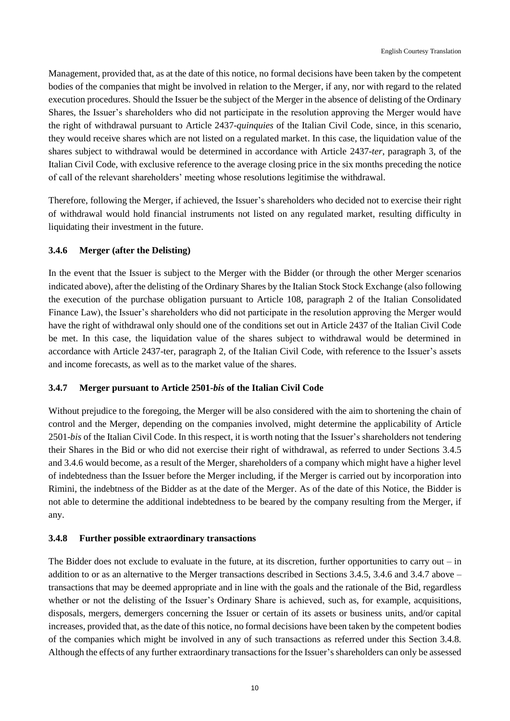Management, provided that, as at the date of this notice, no formal decisions have been taken by the competent bodies of the companies that might be involved in relation to the Merger, if any, nor with regard to the related execution procedures. Should the Issuer be the subject of the Merger in the absence of delisting of the Ordinary Shares, the Issuer's shareholders who did not participate in the resolution approving the Merger would have the right of withdrawal pursuant to Article 2437-*quinquies* of the Italian Civil Code, since, in this scenario, they would receive shares which are not listed on a regulated market. In this case, the liquidation value of the shares subject to withdrawal would be determined in accordance with Article 2437-*ter*, paragraph 3, of the Italian Civil Code, with exclusive reference to the average closing price in the six months preceding the notice of call of the relevant shareholders' meeting whose resolutions legitimise the withdrawal.

Therefore, following the Merger, if achieved, the Issuer's shareholders who decided not to exercise their right of withdrawal would hold financial instruments not listed on any regulated market, resulting difficulty in liquidating their investment in the future.

## **3.4.6 Merger (after the Delisting)**

In the event that the Issuer is subject to the Merger with the Bidder (or through the other Merger scenarios indicated above), after the delisting of the Ordinary Shares by the Italian Stock Stock Exchange (also following the execution of the purchase obligation pursuant to Article 108, paragraph 2 of the Italian Consolidated Finance Law), the Issuer's shareholders who did not participate in the resolution approving the Merger would have the right of withdrawal only should one of the conditions set out in Article 2437 of the Italian Civil Code be met. In this case, the liquidation value of the shares subject to withdrawal would be determined in accordance with Article 2437-ter, paragraph 2, of the Italian Civil Code, with reference to the Issuer's assets and income forecasts, as well as to the market value of the shares.

### **3.4.7 Merger pursuant to Article 2501-***bis* **of the Italian Civil Code**

Without prejudice to the foregoing, the Merger will be also considered with the aim to shortening the chain of control and the Merger, depending on the companies involved, might determine the applicability of Article 2501-*bis* of the Italian Civil Code. In this respect, it is worth noting that the Issuer's shareholders not tendering their Shares in the Bid or who did not exercise their right of withdrawal, as referred to under Sections 3.4.5 and 3.4.6 would become, as a result of the Merger, shareholders of a company which might have a higher level of indebtedness than the Issuer before the Merger including, if the Merger is carried out by incorporation into Rimini, the indebtness of the Bidder as at the date of the Merger. As of the date of this Notice, the Bidder is not able to determine the additional indebtedness to be beared by the company resulting from the Merger, if any.

### **3.4.8 Further possible extraordinary transactions**

The Bidder does not exclude to evaluate in the future, at its discretion, further opportunities to carry out  $-$  in addition to or as an alternative to the Merger transactions described in Sections 3.4.5, 3.4.6 and 3.4.7 above – transactions that may be deemed appropriate and in line with the goals and the rationale of the Bid, regardless whether or not the delisting of the Issuer's Ordinary Share is achieved, such as, for example, acquisitions, disposals, mergers, demergers concerning the Issuer or certain of its assets or business units, and/or capital increases, provided that, as the date of this notice, no formal decisions have been taken by the competent bodies of the companies which might be involved in any of such transactions as referred under this Section 3.4.8. Although the effects of any further extraordinary transactions for the Issuer's shareholders can only be assessed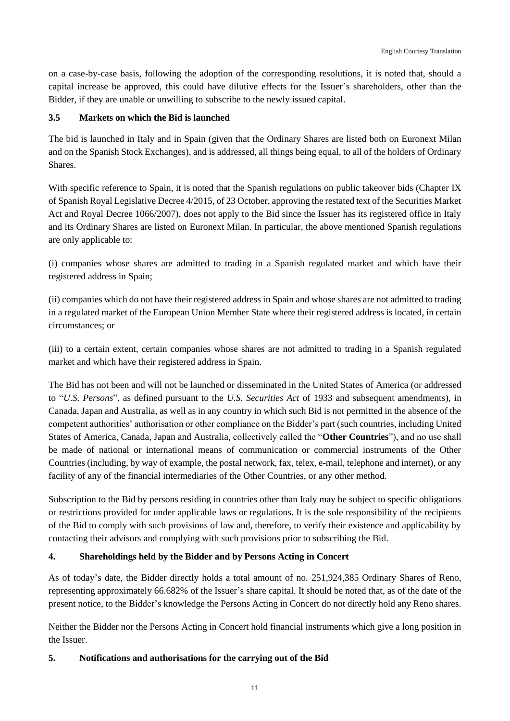on a case-by-case basis, following the adoption of the corresponding resolutions, it is noted that, should a capital increase be approved, this could have dilutive effects for the Issuer's shareholders, other than the Bidder, if they are unable or unwilling to subscribe to the newly issued capital.

## **3.5 Markets on which the Bid is launched**

The bid is launched in Italy and in Spain (given that the Ordinary Shares are listed both on Euronext Milan and on the Spanish Stock Exchanges), and is addressed, all things being equal, to all of the holders of Ordinary Shares.

With specific reference to Spain, it is noted that the Spanish regulations on public takeover bids (Chapter IX of Spanish Royal Legislative Decree 4/2015, of 23 October, approving the restated text of the Securities Market Act and Royal Decree 1066/2007), does not apply to the Bid since the Issuer has its registered office in Italy and its Ordinary Shares are listed on Euronext Milan. In particular, the above mentioned Spanish regulations are only applicable to:

(i) companies whose shares are admitted to trading in a Spanish regulated market and which have their registered address in Spain;

(ii) companies which do not have their registered address in Spain and whose shares are not admitted to trading in a regulated market of the European Union Member State where their registered address is located, in certain circumstances; or

(iii) to a certain extent, certain companies whose shares are not admitted to trading in a Spanish regulated market and which have their registered address in Spain.

The Bid has not been and will not be launched or disseminated in the United States of America (or addressed to "*U.S. Persons*", as defined pursuant to the *U.S. Securities Act* of 1933 and subsequent amendments), in Canada, Japan and Australia, as well as in any country in which such Bid is not permitted in the absence of the competent authorities' authorisation or other compliance on the Bidder's part (such countries, including United States of America, Canada, Japan and Australia, collectively called the "**Other Countries**"), and no use shall be made of national or international means of communication or commercial instruments of the Other Countries (including, by way of example, the postal network, fax, telex, e-mail, telephone and internet), or any facility of any of the financial intermediaries of the Other Countries, or any other method.

Subscription to the Bid by persons residing in countries other than Italy may be subject to specific obligations or restrictions provided for under applicable laws or regulations. It is the sole responsibility of the recipients of the Bid to comply with such provisions of law and, therefore, to verify their existence and applicability by contacting their advisors and complying with such provisions prior to subscribing the Bid.

### **4. Shareholdings held by the Bidder and by Persons Acting in Concert**

As of today's date, the Bidder directly holds a total amount of no. 251,924,385 Ordinary Shares of Reno, representing approximately 66.682% of the Issuer's share capital. It should be noted that, as of the date of the present notice, to the Bidder's knowledge the Persons Acting in Concert do not directly hold any Reno shares.

Neither the Bidder nor the Persons Acting in Concert hold financial instruments which give a long position in the Issuer.

### **5. Notifications and authorisations for the carrying out of the Bid**